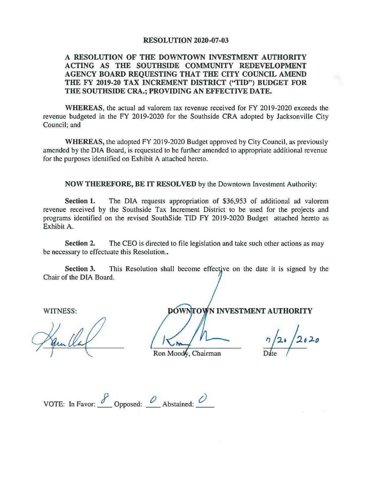## **RESOLUTION 2020-07-03**

## **A RESOLUTION OF THE DOWNTOWN INVESTMENT AUTHORITY ACTING AS THE SOUTHSIDE COMMUNITY REDEVELOPMENT AGENCY BOARD REQUESTING THAT THE CITY COUNCIL AMEND THE FY 2019-20 TAX INCREMENT DISTRICT ("TID") BUDGET FOR THE SOUTHSIDE CRA.; PROVIDING AN EFFECTIVE DATE.**

**WHEREAS,** the actual ad valorem tax revenue received for FY 2019-2020 exceeds the revenue budgeted in the FY 2019-2020 for the Southside CRA adopted by Jacksonville City Council; and

**WHEREAS,** the adopted FY 2019-2020 Budget approved by City Council, as previously amended by the DIA Board, is requested to be further amended to appropriate additional revenue for the purposes identified on Exhibit A attached hereto.

**NOW THEREFORE, BE IT RESOLVED** by the Downtown Investment Authority:

**Section 1.** The DIA requests appropriation of \$36,953 of additional ad valorem revenue received by the Southside Tax Increment District to be used for the projects and programs identified on the revised SouthSide TIO FY 2019-2020 Budget attached hereto as Exhibit A.

**Section 2.** The CEO is directed to file legislation and take such other actions as may be necessary to effectuate this Resolution..

**Section 3.** This Resolution shall become effective on the date it is signed by the Chair of the DIA Board.

WITNESS: **NOW INVESTMENT AUTHORITY** 

*n h .* /,, **A:J.o**   $\frac{7}{20}$   $\frac{20}{20}$ 

Ron Moody, Chairman

VOTE: In Favor:  $\frac{8}{\sqrt{2}}$  Opposed:  $\frac{0}{\sqrt{2}}$  Abstained:  $\frac{0}{\sqrt{2}}$